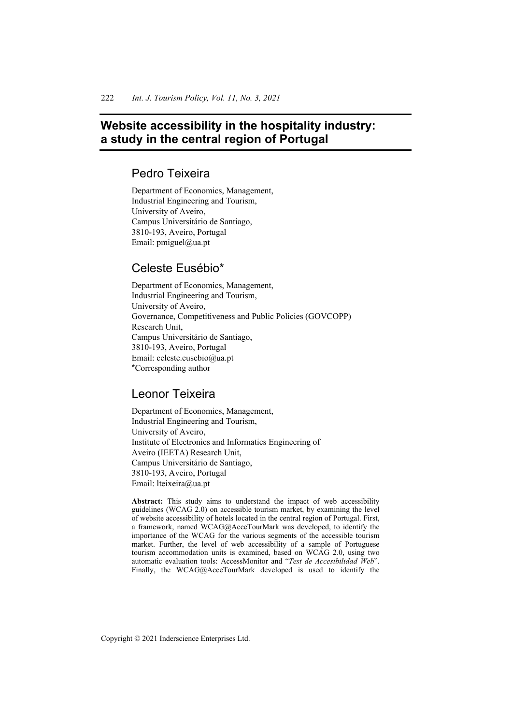# **Website accessibility in the hospitality industry: a study in the central region of Portugal**

## Pedro Teixeira

Department of Economics, Management, Industrial Engineering and Tourism, University of Aveiro, Campus Universitário de Santiago, 3810-193, Aveiro, Portugal Email:  $pmi$ guel@ua.pt

# Celeste Eusébio\*

Department of Economics, Management, Industrial Engineering and Tourism, University of Aveiro, Governance, Competitiveness and Public Policies (GOVCOPP) Research Unit, Campus Universitário de Santiago, 3810-193, Aveiro, Portugal Email: celeste.eusebio@ua.pt \*Corresponding author

# Leonor Teixeira

Department of Economics, Management, Industrial Engineering and Tourism, University of Aveiro, Institute of Electronics and Informatics Engineering of Aveiro (IEETA) Research Unit, Campus Universitário de Santiago, 3810-193, Aveiro, Portugal Email: lteixeira@ua.pt

**Abstract:** This study aims to understand the impact of web accessibility guidelines (WCAG 2.0) on accessible tourism market, by examining the level of website accessibility of hotels located in the central region of Portugal. First, a framework, named WCAG@AcceTourMark was developed, to identify the importance of the WCAG for the various segments of the accessible tourism market. Further, the level of web accessibility of a sample of Portuguese tourism accommodation units is examined, based on WCAG 2.0, using two automatic evaluation tools: AccessMonitor and "*Test de Accesibilidad Web*". Finally, the WCAG@AcceTourMark developed is used to identify the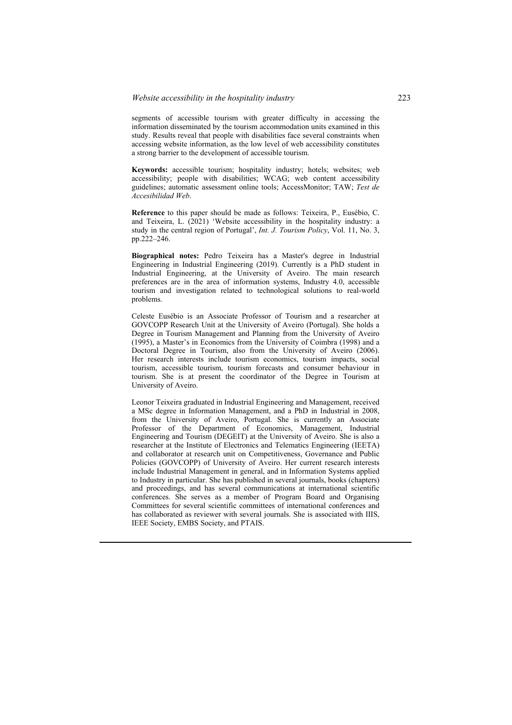segments of accessible tourism with greater difficulty in accessing the information disseminated by the tourism accommodation units examined in this study. Results reveal that people with disabilities face several constraints when accessing website information, as the low level of web accessibility constitutes a strong barrier to the development of accessible tourism.

**Keywords:** accessible tourism; hospitality industry; hotels; websites; web accessibility; people with disabilities; WCAG; web content accessibility guidelines; automatic assessment online tools; AccessMonitor; TAW; *Test de Accesibilidad Web*.

**Reference** to this paper should be made as follows: Teixeira, P., Eusébio, C. and Teixeira, L. (2021) 'Website accessibility in the hospitality industry: a study in the central region of Portugal', *Int. J. Tourism Policy*, Vol. 11, No. 3, pp.222–246.

**Biographical notes:** Pedro Teixeira has a Master's degree in Industrial Engineering in Industrial Engineering (2019). Currently is a PhD student in Industrial Engineering, at the University of Aveiro. The main research preferences are in the area of information systems, Industry 4.0, accessible tourism and investigation related to technological solutions to real-world problems.

Celeste Eusébio is an Associate Professor of Tourism and a researcher at GOVCOPP Research Unit at the University of Aveiro (Portugal). She holds a Degree in Tourism Management and Planning from the University of Aveiro (1995), a Master's in Economics from the University of Coimbra (1998) and a Doctoral Degree in Tourism, also from the University of Aveiro (2006). Her research interests include tourism economics, tourism impacts, social tourism, accessible tourism, tourism forecasts and consumer behaviour in tourism. She is at present the coordinator of the Degree in Tourism at University of Aveiro.

Leonor Teixeira graduated in Industrial Engineering and Management, received a MSc degree in Information Management, and a PhD in Industrial in 2008, from the University of Aveiro, Portugal. She is currently an Associate Professor of the Department of Economics, Management, Industrial Engineering and Tourism (DEGEIT) at the University of Aveiro. She is also a researcher at the Institute of Electronics and Telematics Engineering (IEETA) and collaborator at research unit on Competitiveness, Governance and Public Policies (GOVCOPP) of University of Aveiro. Her current research interests include Industrial Management in general, and in Information Systems applied to Industry in particular. She has published in several journals, books (chapters) and proceedings, and has several communications at international scientific conferences. She serves as a member of Program Board and Organising Committees for several scientific committees of international conferences and has collaborated as reviewer with several journals. She is associated with IIIS, IEEE Society, EMBS Society, and PTAIS.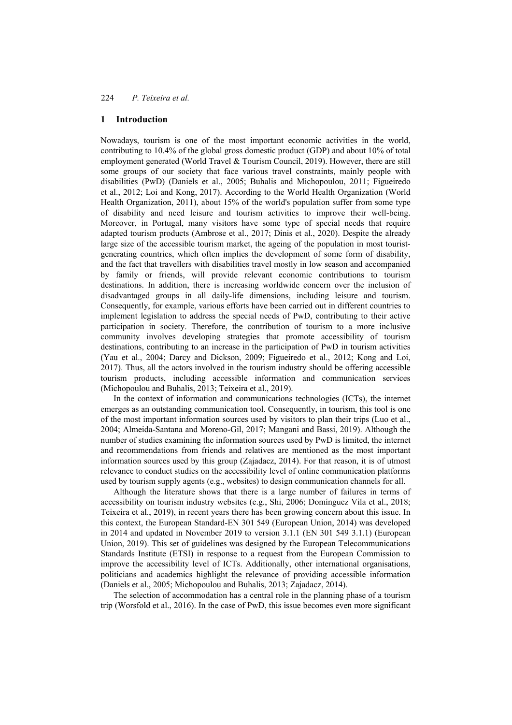## **1 Introduction**

Nowadays, tourism is one of the most important economic activities in the world, contributing to 10.4% of the global gross domestic product (GDP) and about 10% of total employment generated (World Travel & Tourism Council, 2019). However, there are still some groups of our society that face various travel constraints, mainly people with disabilities (PwD) (Daniels et al., 2005; Buhalis and Michopoulou, 2011; Figueiredo et al., 2012; Loi and Kong, 2017). According to the World Health Organization (World Health Organization, 2011), about 15% of the world's population suffer from some type of disability and need leisure and tourism activities to improve their well-being. Moreover, in Portugal, many visitors have some type of special needs that require adapted tourism products (Ambrose et al., 2017; Dinis et al., 2020). Despite the already large size of the accessible tourism market, the ageing of the population in most touristgenerating countries, which often implies the development of some form of disability, and the fact that travellers with disabilities travel mostly in low season and accompanied by family or friends, will provide relevant economic contributions to tourism destinations. In addition, there is increasing worldwide concern over the inclusion of disadvantaged groups in all daily-life dimensions, including leisure and tourism. Consequently, for example, various efforts have been carried out in different countries to implement legislation to address the special needs of PwD, contributing to their active participation in society. Therefore, the contribution of tourism to a more inclusive community involves developing strategies that promote accessibility of tourism destinations, contributing to an increase in the participation of PwD in tourism activities (Yau et al., 2004; Darcy and Dickson, 2009; Figueiredo et al., 2012; Kong and Loi, 2017). Thus, all the actors involved in the tourism industry should be offering accessible tourism products, including accessible information and communication services (Michopoulou and Buhalis, 2013; Teixeira et al., 2019).

In the context of information and communications technologies (ICTs), the internet emerges as an outstanding communication tool. Consequently, in tourism, this tool is one of the most important information sources used by visitors to plan their trips (Luo et al., 2004; Almeida-Santana and Moreno-Gil, 2017; Mangani and Bassi, 2019). Although the number of studies examining the information sources used by PwD is limited, the internet and recommendations from friends and relatives are mentioned as the most important information sources used by this group (Zajadacz, 2014). For that reason, it is of utmost relevance to conduct studies on the accessibility level of online communication platforms used by tourism supply agents (e.g., websites) to design communication channels for all.

Although the literature shows that there is a large number of failures in terms of accessibility on tourism industry websites (e.g., Shi, 2006; Domínguez Vila et al., 2018; Teixeira et al., 2019), in recent years there has been growing concern about this issue. In this context, the European Standard-EN 301 549 (European Union, 2014) was developed in 2014 and updated in November 2019 to version 3.1.1 (EN 301 549 3.1.1) (European Union, 2019). This set of guidelines was designed by the European Telecommunications Standards Institute (ETSI) in response to a request from the European Commission to improve the accessibility level of ICTs. Additionally, other international organisations, politicians and academics highlight the relevance of providing accessible information (Daniels et al., 2005; Michopoulou and Buhalis, 2013; Zajadacz, 2014).

The selection of accommodation has a central role in the planning phase of a tourism trip (Worsfold et al., 2016). In the case of PwD, this issue becomes even more significant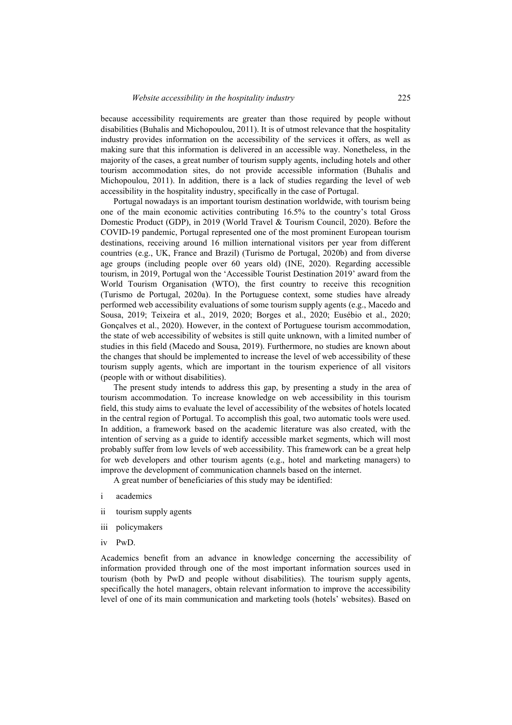because accessibility requirements are greater than those required by people without disabilities (Buhalis and Michopoulou, 2011). It is of utmost relevance that the hospitality industry provides information on the accessibility of the services it offers, as well as making sure that this information is delivered in an accessible way. Nonetheless, in the majority of the cases, a great number of tourism supply agents, including hotels and other tourism accommodation sites, do not provide accessible information (Buhalis and Michopoulou, 2011). In addition, there is a lack of studies regarding the level of web accessibility in the hospitality industry, specifically in the case of Portugal.

Portugal nowadays is an important tourism destination worldwide, with tourism being one of the main economic activities contributing 16.5% to the country's total Gross Domestic Product (GDP), in 2019 (World Travel & Tourism Council, 2020). Before the COVID-19 pandemic, Portugal represented one of the most prominent European tourism destinations, receiving around 16 million international visitors per year from different countries (e.g., UK, France and Brazil) (Turismo de Portugal, 2020b) and from diverse age groups (including people over 60 years old) (INE, 2020). Regarding accessible tourism, in 2019, Portugal won the 'Accessible Tourist Destination 2019' award from the World Tourism Organisation (WTO), the first country to receive this recognition (Turismo de Portugal, 2020a). In the Portuguese context, some studies have already performed web accessibility evaluations of some tourism supply agents (e.g., Macedo and Sousa, 2019; Teixeira et al., 2019, 2020; Borges et al., 2020; Eusébio et al., 2020; Gonçalves et al., 2020). However, in the context of Portuguese tourism accommodation, the state of web accessibility of websites is still quite unknown, with a limited number of studies in this field (Macedo and Sousa, 2019). Furthermore, no studies are known about the changes that should be implemented to increase the level of web accessibility of these tourism supply agents, which are important in the tourism experience of all visitors (people with or without disabilities).

The present study intends to address this gap, by presenting a study in the area of tourism accommodation. To increase knowledge on web accessibility in this tourism field, this study aims to evaluate the level of accessibility of the websites of hotels located in the central region of Portugal. To accomplish this goal, two automatic tools were used. In addition, a framework based on the academic literature was also created, with the intention of serving as a guide to identify accessible market segments, which will most probably suffer from low levels of web accessibility. This framework can be a great help for web developers and other tourism agents (e.g., hotel and marketing managers) to improve the development of communication channels based on the internet.

A great number of beneficiaries of this study may be identified:

- i academics
- ii tourism supply agents
- iii policymakers
- iv PwD.

Academics benefit from an advance in knowledge concerning the accessibility of information provided through one of the most important information sources used in tourism (both by PwD and people without disabilities). The tourism supply agents, specifically the hotel managers, obtain relevant information to improve the accessibility level of one of its main communication and marketing tools (hotels' websites). Based on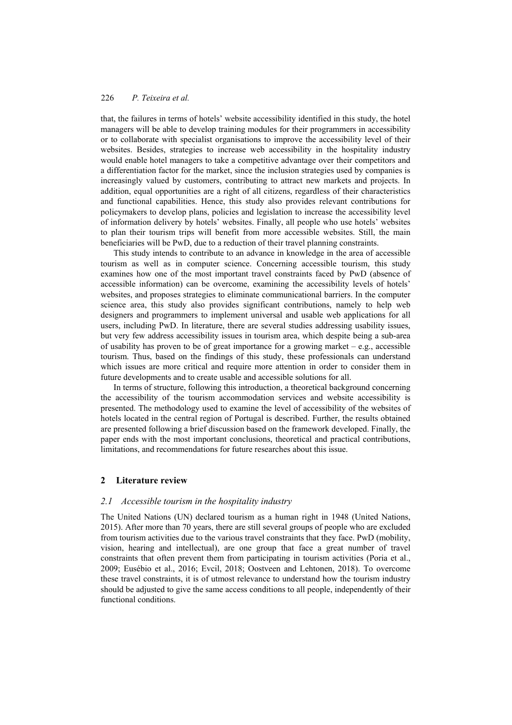that, the failures in terms of hotels' website accessibility identified in this study, the hotel managers will be able to develop training modules for their programmers in accessibility or to collaborate with specialist organisations to improve the accessibility level of their websites. Besides, strategies to increase web accessibility in the hospitality industry would enable hotel managers to take a competitive advantage over their competitors and a differentiation factor for the market, since the inclusion strategies used by companies is increasingly valued by customers, contributing to attract new markets and projects. In addition, equal opportunities are a right of all citizens, regardless of their characteristics and functional capabilities. Hence, this study also provides relevant contributions for policymakers to develop plans, policies and legislation to increase the accessibility level of information delivery by hotels' websites. Finally, all people who use hotels' websites to plan their tourism trips will benefit from more accessible websites. Still, the main beneficiaries will be PwD, due to a reduction of their travel planning constraints.

This study intends to contribute to an advance in knowledge in the area of accessible tourism as well as in computer science. Concerning accessible tourism, this study examines how one of the most important travel constraints faced by PwD (absence of accessible information) can be overcome, examining the accessibility levels of hotels' websites, and proposes strategies to eliminate communicational barriers. In the computer science area, this study also provides significant contributions, namely to help web designers and programmers to implement universal and usable web applications for all users, including PwD. In literature, there are several studies addressing usability issues, but very few address accessibility issues in tourism area, which despite being a sub-area of usability has proven to be of great importance for a growing market – e.g., accessible tourism. Thus, based on the findings of this study, these professionals can understand which issues are more critical and require more attention in order to consider them in future developments and to create usable and accessible solutions for all.

In terms of structure, following this introduction, a theoretical background concerning the accessibility of the tourism accommodation services and website accessibility is presented. The methodology used to examine the level of accessibility of the websites of hotels located in the central region of Portugal is described. Further, the results obtained are presented following a brief discussion based on the framework developed. Finally, the paper ends with the most important conclusions, theoretical and practical contributions, limitations, and recommendations for future researches about this issue.

### **2 Literature review**

### *2.1 Accessible tourism in the hospitality industry*

The United Nations (UN) declared tourism as a human right in 1948 (United Nations, 2015). After more than 70 years, there are still several groups of people who are excluded from tourism activities due to the various travel constraints that they face. PwD (mobility, vision, hearing and intellectual), are one group that face a great number of travel constraints that often prevent them from participating in tourism activities (Poria et al., 2009; Eusébio et al., 2016; Evcil, 2018; Oostveen and Lehtonen, 2018). To overcome these travel constraints, it is of utmost relevance to understand how the tourism industry should be adjusted to give the same access conditions to all people, independently of their functional conditions.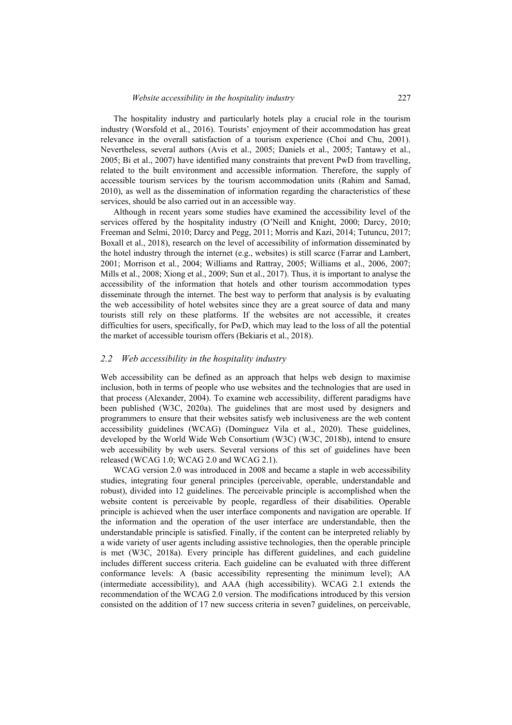The hospitality industry and particularly hotels play a crucial role in the tourism industry (Worsfold et al., 2016). Tourists' enjoyment of their accommodation has great relevance in the overall satisfaction of a tourism experience (Choi and Chu, 2001). Nevertheless, several authors (Avis et al., 2005; Daniels et al., 2005; Tantawy et al., 2005; Bi et al., 2007) have identified many constraints that prevent PwD from travelling, related to the built environment and accessible information. Therefore, the supply of accessible tourism services by the tourism accommodation units (Rahim and Samad, 2010), as well as the dissemination of information regarding the characteristics of these services, should be also carried out in an accessible way.

Although in recent years some studies have examined the accessibility level of the services offered by the hospitality industry (O'Neill and Knight, 2000; Darcy, 2010; Freeman and Selmi, 2010; Darcy and Pegg, 2011; Morris and Kazi, 2014; Tutuncu, 2017; Boxall et al., 2018), research on the level of accessibility of information disseminated by the hotel industry through the internet (e.g., websites) is still scarce (Farrar and Lambert, 2001; Morrison et al., 2004; Williams and Rattray, 2005; Williams et al., 2006, 2007; Mills et al., 2008; Xiong et al., 2009; Sun et al., 2017). Thus, it is important to analyse the accessibility of the information that hotels and other tourism accommodation types disseminate through the internet. The best way to perform that analysis is by evaluating the web accessibility of hotel websites since they are a great source of data and many tourists still rely on these platforms. If the websites are not accessible, it creates difficulties for users, specifically, for PwD, which may lead to the loss of all the potential the market of accessible tourism offers (Bekiaris et al., 2018).

#### *2.2 Web accessibility in the hospitality industry*

Web accessibility can be defined as an approach that helps web design to maximise inclusion, both in terms of people who use websites and the technologies that are used in that process (Alexander, 2004). To examine web accessibility, different paradigms have been published (W3C, 2020a). The guidelines that are most used by designers and programmers to ensure that their websites satisfy web inclusiveness are the web content accessibility guidelines (WCAG) (Domínguez Vila et al., 2020). These guidelines, developed by the World Wide Web Consortium (W3C) (W3C, 2018b), intend to ensure web accessibility by web users. Several versions of this set of guidelines have been released (WCAG 1.0; WCAG 2.0 and WCAG 2.1).

WCAG version 2.0 was introduced in 2008 and became a staple in web accessibility studies, integrating four general principles (perceivable, operable, understandable and robust), divided into 12 guidelines. The perceivable principle is accomplished when the website content is perceivable by people, regardless of their disabilities. Operable principle is achieved when the user interface components and navigation are operable. If the information and the operation of the user interface are understandable, then the understandable principle is satisfied. Finally, if the content can be interpreted reliably by a wide variety of user agents including assistive technologies, then the operable principle is met (W3C, 2018a). Every principle has different guidelines, and each guideline includes different success criteria. Each guideline can be evaluated with three different conformance levels: A (basic accessibility representing the minimum level); AA (intermediate accessibility), and AAA (high accessibility). WCAG 2.1 extends the recommendation of the WCAG 2.0 version. The modifications introduced by this version consisted on the addition of 17 new success criteria in seven7 guidelines, on perceivable,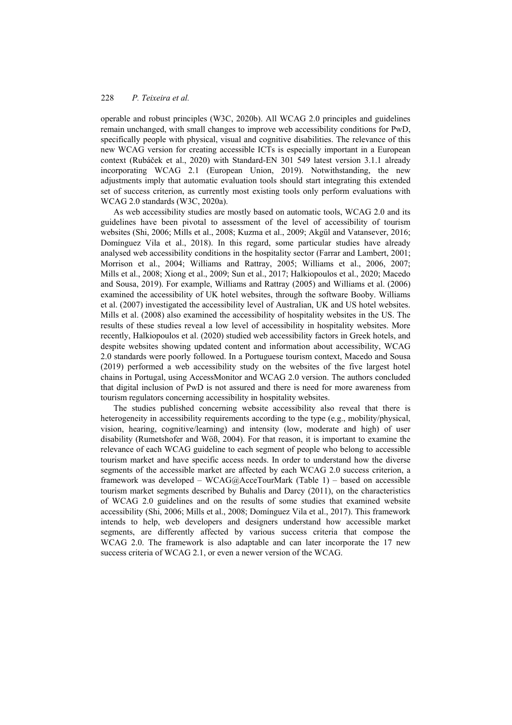operable and robust principles (W3C, 2020b). All WCAG 2.0 principles and guidelines remain unchanged, with small changes to improve web accessibility conditions for PwD, specifically people with physical, visual and cognitive disabilities. The relevance of this new WCAG version for creating accessible ICTs is especially important in a European context (Rubáček et al., 2020) with Standard-EN 301 549 latest version 3.1.1 already incorporating WCAG 2.1 (European Union, 2019). Notwithstanding, the new adjustments imply that automatic evaluation tools should start integrating this extended set of success criterion, as currently most existing tools only perform evaluations with WCAG 2.0 standards (W3C, 2020a).

As web accessibility studies are mostly based on automatic tools, WCAG 2.0 and its guidelines have been pivotal to assessment of the level of accessibility of tourism websites (Shi, 2006; Mills et al., 2008; Kuzma et al., 2009; Akgül and Vatansever, 2016; Domínguez Vila et al., 2018). In this regard, some particular studies have already analysed web accessibility conditions in the hospitality sector (Farrar and Lambert, 2001; Morrison et al., 2004; Williams and Rattray, 2005; Williams et al., 2006, 2007; Mills et al., 2008; Xiong et al., 2009; Sun et al., 2017; Halkiopoulos et al., 2020; Macedo and Sousa, 2019). For example, Williams and Rattray (2005) and Williams et al. (2006) examined the accessibility of UK hotel websites, through the software Booby. Williams et al. (2007) investigated the accessibility level of Australian, UK and US hotel websites. Mills et al. (2008) also examined the accessibility of hospitality websites in the US. The results of these studies reveal a low level of accessibility in hospitality websites. More recently, Halkiopoulos et al. (2020) studied web accessibility factors in Greek hotels, and despite websites showing updated content and information about accessibility, WCAG 2.0 standards were poorly followed. In a Portuguese tourism context, Macedo and Sousa (2019) performed a web accessibility study on the websites of the five largest hotel chains in Portugal, using AccessMonitor and WCAG 2.0 version. The authors concluded that digital inclusion of PwD is not assured and there is need for more awareness from tourism regulators concerning accessibility in hospitality websites.

The studies published concerning website accessibility also reveal that there is heterogeneity in accessibility requirements according to the type (e.g., mobility/physical, vision, hearing, cognitive/learning) and intensity (low, moderate and high) of user disability (Rumetshofer and Wöß, 2004). For that reason, it is important to examine the relevance of each WCAG guideline to each segment of people who belong to accessible tourism market and have specific access needs. In order to understand how the diverse segments of the accessible market are affected by each WCAG 2.0 success criterion, a framework was developed – WCAG@AcceTourMark (Table 1) – based on accessible tourism market segments described by Buhalis and Darcy (2011), on the characteristics of WCAG 2.0 guidelines and on the results of some studies that examined website accessibility (Shi, 2006; Mills et al., 2008; Domínguez Vila et al., 2017). This framework intends to help, web developers and designers understand how accessible market segments, are differently affected by various success criteria that compose the WCAG 2.0. The framework is also adaptable and can later incorporate the 17 new success criteria of WCAG 2.1, or even a newer version of the WCAG.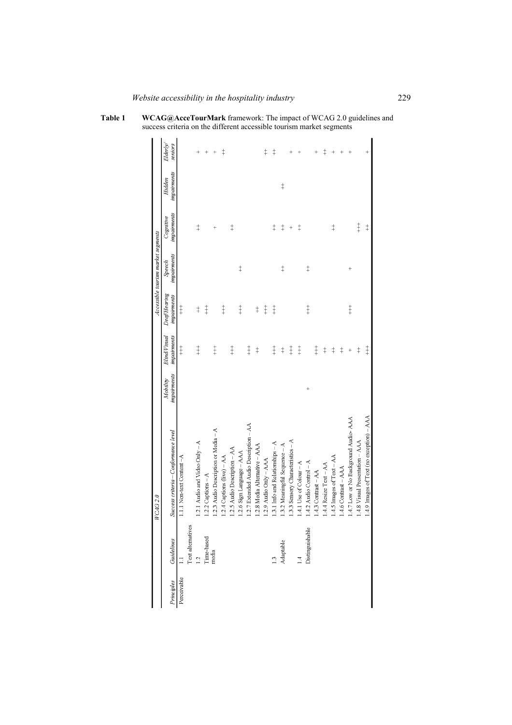**Table 1 WCAG@AcceTourMark** framework: The impact of WCAG 2.0 guidelines and success criteria on the different accessible tourism market segments

|             |                   | WCAG 2.0                                  |             |              |             | Accessible tourism market segments |             |             |            |
|-------------|-------------------|-------------------------------------------|-------------|--------------|-------------|------------------------------------|-------------|-------------|------------|
| Principles  | Guidelines        | Success criteria – Conformance level      | Mobility    | Blind/Visual | DeafHearing | Speech                             | Cognitive   | Hidden      | Elderly/   |
|             |                   |                                           | impairments | impairments  | impairments | impairments                        | impairments | impairments | seniors    |
| Perceivable |                   | 1.1.1 Non-text Content -A                 |             | $\ddagger$   | $\ddagger$  |                                    |             |             |            |
|             | Text alternatives |                                           |             |              |             |                                    |             |             |            |
|             | $\frac{1}{2}$     | 1.2.1 Audio and Video Only - A            |             | $\ddagger$   | $\ddagger$  |                                    | $\ddagger$  |             | $^{+}$     |
|             | Time-based        | 1.2.2 Captions - A                        |             |              | $\ddagger$  |                                    |             |             | $^{+}$     |
|             | media             | 1.2.3 Audio Description or Media $-A$     |             | $\ddagger$   |             |                                    | $^{+}$      |             | $^{+}$     |
|             |                   | 1.2.4 Captions (live) - AA                |             |              | $\ddagger$  |                                    |             |             | $\ddagger$ |
|             |                   | 1.2.5 Audio Description - AA              |             | $\ddagger$   |             |                                    | $\ddagger$  |             |            |
|             |                   | 1.2.6 Sign Language - AAA                 |             |              | $\ddagger$  | $\ddagger$                         |             |             |            |
|             |                   | 2.7 Extended Audio Description $-A$ A     |             | $\ddagger$   |             |                                    |             |             |            |
|             |                   | 1.2.8 Media Alternative - AAA             |             | $\ddagger$   | $\ddagger$  |                                    |             |             |            |
|             |                   | .2.9 Audio $Om(y - AAA$                   |             |              | $\ddagger$  |                                    |             |             | $\ddagger$ |
|             | $\frac{1}{2}$     | 1.3.1 Info and Relationships - A          |             | $\ddagger$   | $\ddagger$  |                                    | $\ddagger$  |             | $\ddagger$ |
|             | Adaptable         | 1.3.2 Meaningful Sequence - A             |             | $\ddagger$   |             | $\ddagger$                         | $\ddagger$  | $\ddagger$  |            |
|             |                   | .3.3 Sensory Characteristics - A          |             | $\ddagger$   |             |                                    | $^{+}$      |             |            |
|             | Σ                 | 1.4.1 Use of Colour - A                   |             | $\ddagger$   |             |                                    | $\ddagger$  |             |            |
|             | Distinguishable   | $1.4.2$ Audio Control – A                 | $^{+}$      |              | $\ddagger$  | $\ddagger$                         |             |             |            |
|             |                   | $1.4.3$ Contrast $-AA$                    |             | $\ddagger$   |             |                                    |             |             | $^{+}$     |
|             |                   | $1.4.4$ Resize Text $-AA$                 |             | $\ddagger$   |             |                                    |             |             | $\ddagger$ |
|             |                   | 1.4.5 Images of Text - AA                 |             | $\ddagger$   |             |                                    | $\ddagger$  |             | $^{+}$     |
|             |                   | $1.4.6$ Contrast $-AA$                    |             | $\ddagger$   |             |                                    |             |             |            |
|             |                   | 1.4.7 Low or No Background Audio- AAA     |             | $^{+}$       | $\ddagger$  | $^{+}$                             |             |             | $^{+}$     |
|             |                   | 1.4.8 Visual Presentation - AAA           |             | $\ddagger$   |             |                                    | $+$         |             |            |
|             |                   | 1.4.9 Images of Text (no exception) - AAA |             | $\ddagger$   |             |                                    | $\ddagger$  |             |            |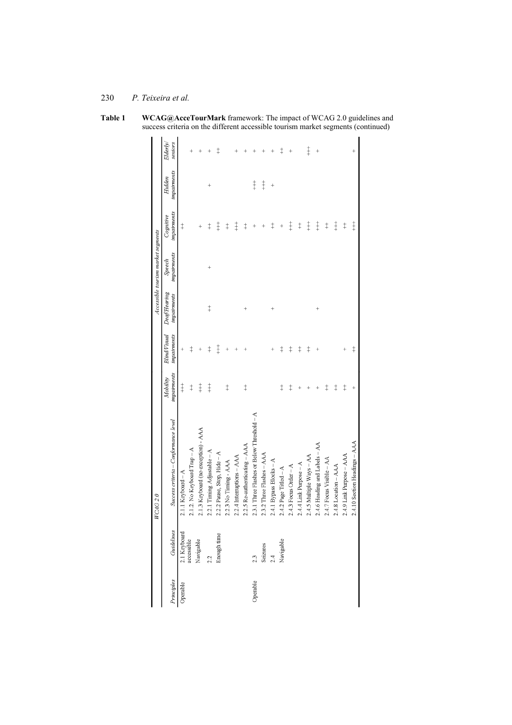**Table 1 WCAG@AcceTourMark** framework: The impact of WCAG 2.0 guidelines and success criteria on the different accessible tourism market segments (continued)

|                                    | Elderly/<br>seniors                  |                      | $^+$                        | $^+$                                | $\pm$                        | ŧ                           |                       |                           |                               |                                            |                           |                         | $\ddagger$            | $^{+}$                  |                        | $\ddagger$               | $^{+}$                        |                          |                      |                          |                               |
|------------------------------------|--------------------------------------|----------------------|-----------------------------|-------------------------------------|------------------------------|-----------------------------|-----------------------|---------------------------|-------------------------------|--------------------------------------------|---------------------------|-------------------------|-----------------------|-------------------------|------------------------|--------------------------|-------------------------------|--------------------------|----------------------|--------------------------|-------------------------------|
|                                    | impairments<br>Hidden                |                      |                             |                                     | $^{+}$                       |                             |                       |                           |                               | $\ddagger$                                 | $\ddagger$                | $^{+}$                  |                       |                         |                        |                          |                               |                          |                      |                          |                               |
|                                    | impairments<br>Cognitive             | $\ddagger$           |                             | $^{+}$                              | $\ddagger$                   | $\ddagger$                  | $^\mathrm{+}$         | $\ddagger$                | $\ddagger$                    | $^{+}$                                     |                           | $\ddagger$              | $^{+}$                | $\ddagger$              | $\ddagger$             | $\ddagger$               | $\ddagger$                    | $\ddagger$               | $+$                  | $\ddagger$               | $+$                           |
| Accessible tourism market segments | impairments<br>Speech                |                      |                             |                                     | $^{+}$                       |                             |                       |                           |                               |                                            |                           |                         |                       |                         |                        |                          |                               |                          |                      |                          |                               |
|                                    | Deafflearing<br><i>impairments</i>   |                      |                             |                                     | $\ddagger$                   |                             |                       |                           |                               |                                            |                           | $^{+}$                  |                       |                         |                        |                          | $^{+}$                        |                          |                      |                          |                               |
|                                    | impairments<br><b>Blind/Visual</b>   | $^{+}$               | $\ddagger$                  |                                     | $\ddagger$                   | $\ddagger$                  |                       |                           |                               |                                            |                           |                         | $\ddagger$            | $\ddagger$              | $\ddagger$             | $\ddagger$               |                               |                          |                      |                          | $\ddagger$                    |
|                                    | impairments<br>Mobility              | $\ddagger$           | $\ddagger$                  | $\ddagger$                          | $\ddagger$                   |                             | $\ddagger$            |                           | $\ddagger$                    |                                            |                           |                         | $\ddagger$            | $\ddagger$              | $\overline{+}$         |                          |                               | $\ddagger$               | $\ddagger$           | $\ddagger$               | $^{+}$                        |
| WCAG 2.0                           | Success criteria – Conformance level | $2.1.1$ Keyboard – A | 2.1.2. No Keyboard Trap - A | 2.1.3 Keyboard (no exception) - AAA | 2.2.1 Timing Adjustable $-A$ | 2.2.2 Pause, Stop, Hide - A | 2.2.3 No Timing - AAA | 2.2.4 Interruptions - AAA | 2.2.5 Re-authenticating - AAA | 2.3.1 Three Flashes or Below Threshold - A | 2.3.2 Three Flashes - AAA | 2.4.1 Bypass Blocks - A | 2.4.2 Page Titled - A | $2.4.3$ Focus Order - A | 2.4.4 Link Purpose - A | 2.4.5 Multiple Ways - AA | 2.4.6 Heading and Labels - AA | 2.4.7 Focus Visible - AA | 2.4.8 Location - AAA | 2.4.9 Link Purpose - AAA | 2.4.10 Section Headings - AAA |
|                                    | Guidelines                           | 2.1 Keyboard         | accessible                  | Navigable                           | 2.2                          | Enough time                 |                       |                           |                               | 2.3                                        | Seizures                  | 2.4                     | Navigable             |                         |                        |                          |                               |                          |                      |                          |                               |
|                                    | Principles                           | Operable             |                             |                                     |                              |                             |                       |                           |                               | Operable                                   |                           |                         |                       |                         |                        |                          |                               |                          |                      |                          |                               |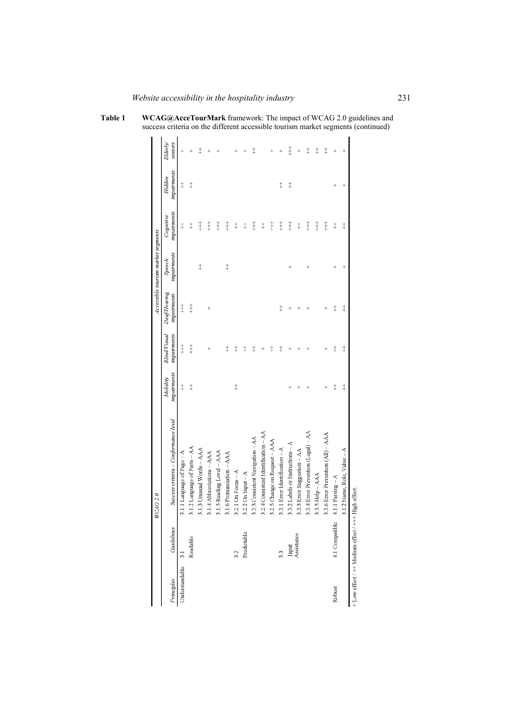**Table 1 WCAG@AcceTourMark** framework: The impact of WCAG 2.0 guidelines and success criteria on the different accessible tourism market segments (continued)

|                                                   |                     | WCAG 2.0                             |             |                     |             | Accessible tourism market segments |             |             |                |
|---------------------------------------------------|---------------------|--------------------------------------|-------------|---------------------|-------------|------------------------------------|-------------|-------------|----------------|
|                                                   |                     |                                      | Mobility    | <b>Blind/Visual</b> | DeafHearing | Speech                             | Cognitive   | Hidden      | Elderly/       |
| Principles                                        | Guidelines          | Success criteria – Conformance level | impairments | impairments         | impairments | impairments                        | impairments | impairments | seniors        |
| Understandable                                    | $\overline{31}$     | 3.1.1 Language of Page - A           | $\ddagger$  | $\ddagger$          | $\ddagger$  |                                    | $\ddagger$  | $\ddagger$  | $^{+}$         |
|                                                   | Readable            | 3.1.2 Language of Parts - AA         | $\ddagger$  | $\ddagger$          | $\ddagger$  |                                    | $\ddagger$  | $\ddagger$  | $\overline{+}$ |
|                                                   |                     | 3.1.3 Umsual Words - AAA             |             |                     |             | $\ddagger$                         | $\ddagger$  |             | $\ddagger$     |
|                                                   |                     | 3.1.4 Abbreviations - AAA            |             | $\ddot{}$           | $^{+}$      |                                    | $\ddagger$  |             | $^{+}$         |
|                                                   |                     | 3.1.5 Reading Level - AAA            |             |                     |             |                                    | $\ddagger$  |             |                |
|                                                   |                     | 3.1.6 Pronunciation - AAA            |             | $\ddagger$          |             | $\ddagger$                         | $\ddagger$  |             |                |
|                                                   | 3.2                 | 3.2.1 On Focus $-A$                  | $\ddagger$  | $\ddagger$          |             |                                    | $\ddagger$  |             |                |
|                                                   | Predictable         | $3.2.2$ On Input $-A$                |             | $\ddagger$          |             |                                    | $\ddagger$  |             |                |
|                                                   |                     | 3.2.3 Consistent Navigation - AA     |             | $\ddagger$          |             |                                    | $\ddagger$  |             | $\ddagger$     |
|                                                   |                     | 3.2.4 Consistent Identification - AA |             | $^{+}$              |             |                                    | $\ddagger$  |             |                |
|                                                   |                     | 3.2.5 Change on Request - AAA        |             | $\ddagger$          |             |                                    | $\ddagger$  |             |                |
|                                                   | 3.3                 | 3.3.1 Error Identification - A       |             | $\ddagger$          | $\ddagger$  |                                    | $\ddagger$  | $\ddagger$  |                |
|                                                   | Input<br>Assistance | 3.3.2 Labels or Instructions - A     |             |                     |             |                                    | $\ddagger$  | $\ddagger$  | $\ddagger$     |
|                                                   |                     | 3.3.3 Error Suggestion - AA          |             |                     |             |                                    | $\ddagger$  |             |                |
|                                                   |                     | 3.3.4 Error Prevention (Legal) - AA  |             |                     |             |                                    | $\ddagger$  |             | $\ddagger$     |
|                                                   |                     | 3.3.5 Help - AAA                     |             |                     |             |                                    | $\ddagger$  |             | $\ddagger$     |
|                                                   |                     | 3.3.6 Error Prevention (All) - AAA   | $^{+}$      | $\overline{+}$      | $\,{}^+$    |                                    | $\ddagger$  |             | $\ddagger$     |
| Robust                                            | 4.1 Compatible      | 4.1.1 Parsing $-A$                   | $\ddagger$  | $\ddagger$          | $\ddagger$  | $^+$                               | $\ddagger$  |             | $^{+}$         |
|                                                   |                     | 4.1.2 Name, Role, Value - A          | $\ddagger$  | $\ddagger$          | $\ddagger$  | $^{+}$                             | $\ddagger$  | $^{+}$      |                |
| + Low effect / ++ Medium effect / +++ High effect |                     |                                      |             |                     |             |                                    |             |             |                |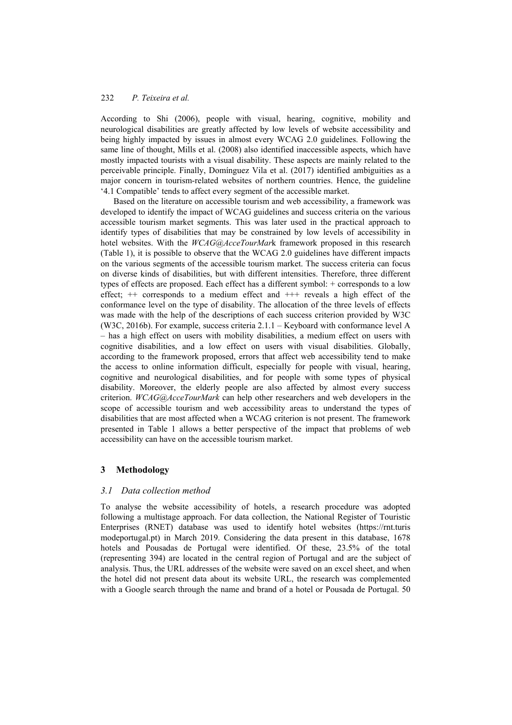According to Shi (2006), people with visual, hearing, cognitive, mobility and neurological disabilities are greatly affected by low levels of website accessibility and being highly impacted by issues in almost every WCAG 2.0 guidelines. Following the same line of thought, Mills et al. (2008) also identified inaccessible aspects, which have mostly impacted tourists with a visual disability. These aspects are mainly related to the perceivable principle. Finally, Domínguez Vila et al. (2017) identified ambiguities as a major concern in tourism-related websites of northern countries. Hence, the guideline '4.1 Compatible' tends to affect every segment of the accessible market.

Based on the literature on accessible tourism and web accessibility, a framework was developed to identify the impact of WCAG guidelines and success criteria on the various accessible tourism market segments. This was later used in the practical approach to identify types of disabilities that may be constrained by low levels of accessibility in hotel websites. With the *WCAG@AcceTourMar*k framework proposed in this research (Table 1), it is possible to observe that the WCAG 2.0 guidelines have different impacts on the various segments of the accessible tourism market. The success criteria can focus on diverse kinds of disabilities, but with different intensities. Therefore, three different types of effects are proposed. Each effect has a different symbol: + corresponds to a low effect;  $++$  corresponds to a medium effect and  $+++$  reveals a high effect of the conformance level on the type of disability. The allocation of the three levels of effects was made with the help of the descriptions of each success criterion provided by W3C (W3C, 2016b). For example, success criteria 2.1.1 – Keyboard with conformance level A – has a high effect on users with mobility disabilities, a medium effect on users with cognitive disabilities, and a low effect on users with visual disabilities. Globally, according to the framework proposed, errors that affect web accessibility tend to make the access to online information difficult, especially for people with visual, hearing, cognitive and neurological disabilities, and for people with some types of physical disability. Moreover, the elderly people are also affected by almost every success criterion. *WCAG@AcceTourMark* can help other researchers and web developers in the scope of accessible tourism and web accessibility areas to understand the types of disabilities that are most affected when a WCAG criterion is not present. The framework presented in Table 1 allows a better perspective of the impact that problems of web accessibility can have on the accessible tourism market.

## **3 Methodology**

## *3.1 Data collection method*

To analyse the website accessibility of hotels, a research procedure was adopted following a multistage approach. For data collection, the National Register of Touristic Enterprises (RNET) database was used to identify hotel websites (https://rnt.turis modeportugal.pt) in March 2019. Considering the data present in this database, 1678 hotels and Pousadas de Portugal were identified. Of these, 23.5% of the total (representing 394) are located in the central region of Portugal and are the subject of analysis. Thus, the URL addresses of the website were saved on an excel sheet, and when the hotel did not present data about its website URL, the research was complemented with a Google search through the name and brand of a hotel or Pousada de Portugal. 50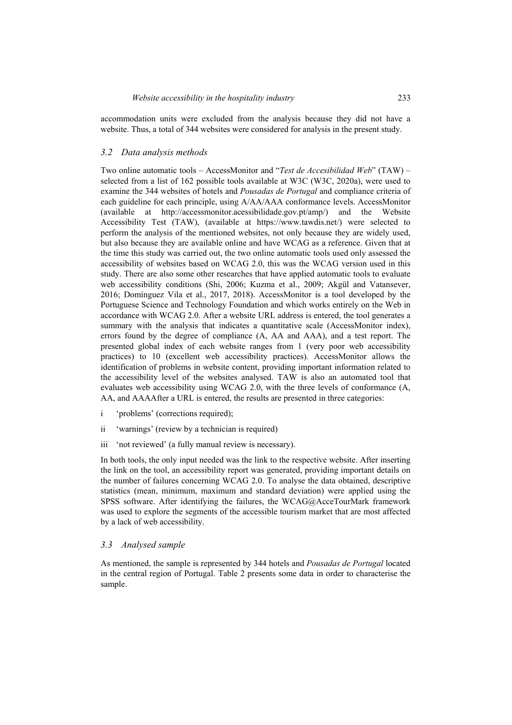accommodation units were excluded from the analysis because they did not have a website. Thus, a total of 344 websites were considered for analysis in the present study.

### *3.2 Data analysis methods*

Two online automatic tools – AccessMonitor and "*Test de Accesibilidad Web*" (TAW) – selected from a list of 162 possible tools available at W3C (W3C, 2020a), were used to examine the 344 websites of hotels and *Pousadas de Portugal* and compliance criteria of each guideline for each principle, using A/AA/AAA conformance levels. AccessMonitor (available at http://accessmonitor.acessibilidade.gov.pt/amp/) and the Website Accessibility Test (TAW), (available at https://www.tawdis.net/) were selected to perform the analysis of the mentioned websites, not only because they are widely used, but also because they are available online and have WCAG as a reference. Given that at the time this study was carried out, the two online automatic tools used only assessed the accessibility of websites based on WCAG 2.0, this was the WCAG version used in this study. There are also some other researches that have applied automatic tools to evaluate web accessibility conditions (Shi, 2006; Kuzma et al., 2009; Akgül and Vatansever, 2016; Domínguez Vila et al., 2017, 2018). AccessMonitor is a tool developed by the Portuguese Science and Technology Foundation and which works entirely on the Web in accordance with WCAG 2.0. After a website URL address is entered, the tool generates a summary with the analysis that indicates a quantitative scale (AccessMonitor index), errors found by the degree of compliance (A, AA and AAA), and a test report. The presented global index of each website ranges from 1 (very poor web accessibility practices) to 10 (excellent web accessibility practices). AccessMonitor allows the identification of problems in website content, providing important information related to the accessibility level of the websites analysed. TAW is also an automated tool that evaluates web accessibility using WCAG 2.0, with the three levels of conformance (A, AA, and AAAAfter a URL is entered, the results are presented in three categories:

- i 'problems' (corrections required);
- ii 'warnings' (review by a technician is required)
- iii 'not reviewed' (a fully manual review is necessary).

In both tools, the only input needed was the link to the respective website. After inserting the link on the tool, an accessibility report was generated, providing important details on the number of failures concerning WCAG 2.0. To analyse the data obtained, descriptive statistics (mean, minimum, maximum and standard deviation) were applied using the SPSS software. After identifying the failures, the WCAG@AcceTourMark framework was used to explore the segments of the accessible tourism market that are most affected by a lack of web accessibility.

### *3.3 Analysed sample*

As mentioned, the sample is represented by 344 hotels and *Pousadas de Portugal* located in the central region of Portugal. Table 2 presents some data in order to characterise the sample.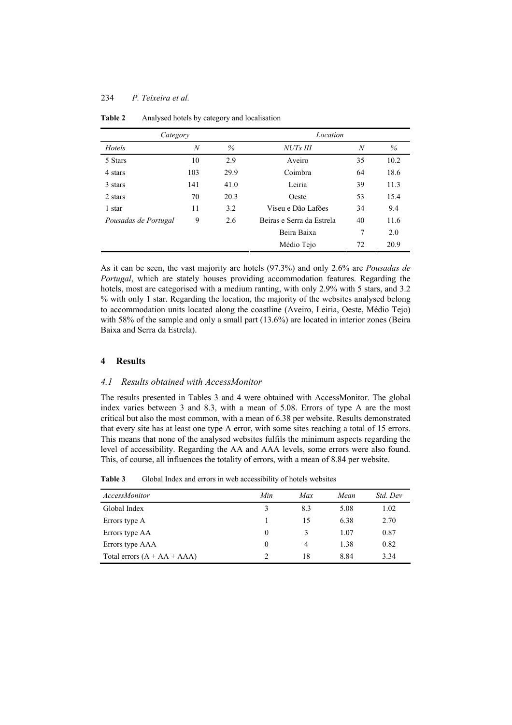### 234 *P. Teixeira et al.*

| Category             |                  |      | Location                  |    |      |  |  |  |
|----------------------|------------------|------|---------------------------|----|------|--|--|--|
| Hotels               | $\boldsymbol{N}$ | $\%$ | <b>NUTs III</b>           | N  | $\%$ |  |  |  |
| 5 Stars              | 10               | 2.9  | Aveiro                    | 35 | 10.2 |  |  |  |
| 4 stars              | 103              | 29.9 | Coimbra                   | 64 | 18.6 |  |  |  |
| 3 stars              | 141              | 41.0 | Leiria                    | 39 | 11.3 |  |  |  |
| 2 stars              | 70               | 20.3 | Oeste                     | 53 | 15.4 |  |  |  |
| 1 star               | 11               | 3.2  | Viseu e Dão Lafões        | 34 | 9.4  |  |  |  |
| Pousadas de Portugal | 9                | 2.6  | Beiras e Serra da Estrela | 40 | 11.6 |  |  |  |
|                      |                  |      | Beira Baixa               | 7  | 2.0  |  |  |  |
|                      |                  |      | Médio Tejo                | 72 | 20.9 |  |  |  |

**Table 2** Analysed hotels by category and localisation

As it can be seen, the vast majority are hotels (97.3%) and only 2.6% are *Pousadas de Portugal*, which are stately houses providing accommodation features. Regarding the hotels, most are categorised with a medium ranting, with only 2.9% with 5 stars, and 3.2 % with only 1 star. Regarding the location, the majority of the websites analysed belong to accommodation units located along the coastline (Aveiro, Leiria, Oeste, Médio Tejo) with 58% of the sample and only a small part (13.6%) are located in interior zones (Beira Baixa and Serra da Estrela).

### **4 Results**

### *4.1 Results obtained with AccessMonitor*

The results presented in Tables 3 and 4 were obtained with AccessMonitor. The global index varies between 3 and 8.3, with a mean of 5.08. Errors of type A are the most critical but also the most common, with a mean of 6.38 per website. Results demonstrated that every site has at least one type A error, with some sites reaching a total of 15 errors. This means that none of the analysed websites fulfils the minimum aspects regarding the level of accessibility. Regarding the AA and AAA levels, some errors were also found. This, of course, all influences the totality of errors, with a mean of 8.84 per website.

| <b>AccessMonitor</b>          | Min      | Max | Mean | Std. Dev |
|-------------------------------|----------|-----|------|----------|
| Global Index                  | 3        | 8.3 | 5.08 | 1.02     |
| Errors type A                 |          | 15  | 6.38 | 2.70     |
| Errors type AA                | $\theta$ | 3   | 1.07 | 0.87     |
| Errors type AAA               | $\theta$ | 4   | 1.38 | 0.82     |
| Total errors $(A + AA + AAA)$ | 2        | 18  | 8.84 | 3.34     |

Table 3 Global Index and errors in web accessibility of hotels websites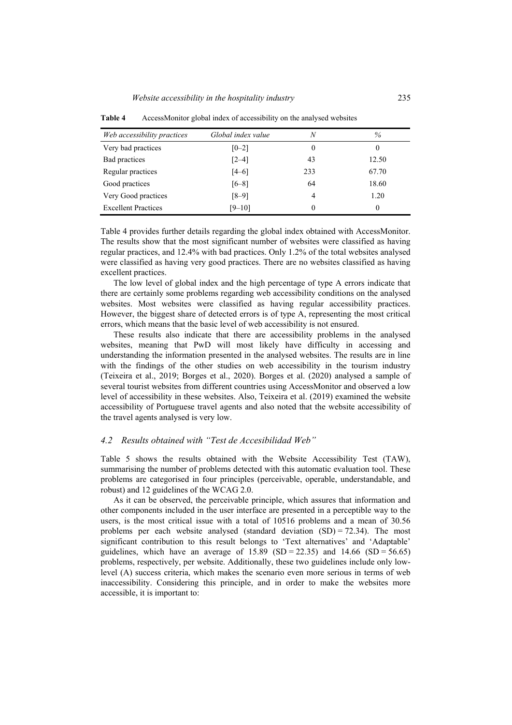| Web accessibility practices | Global index value | N   | $\%$  |
|-----------------------------|--------------------|-----|-------|
| Very bad practices          | $[0-2]$            | 0   | 0     |
| Bad practices               | $[2-4]$            | 43  | 12.50 |
| Regular practices           | $[4-6]$            | 233 | 67.70 |
| Good practices              | $[6-8]$            | 64  | 18.60 |
| Very Good practices         | $[8-9]$            | 4   | 1.20  |
| <b>Excellent Practices</b>  | $[9 - 10]$         | 0   | 0     |

**Table 4** AccessMonitor global index of accessibility on the analysed websites

Table 4 provides further details regarding the global index obtained with AccessMonitor. The results show that the most significant number of websites were classified as having regular practices, and 12.4% with bad practices. Only 1.2% of the total websites analysed were classified as having very good practices. There are no websites classified as having excellent practices.

The low level of global index and the high percentage of type A errors indicate that there are certainly some problems regarding web accessibility conditions on the analysed websites. Most websites were classified as having regular accessibility practices. However, the biggest share of detected errors is of type A, representing the most critical errors, which means that the basic level of web accessibility is not ensured.

These results also indicate that there are accessibility problems in the analysed websites, meaning that PwD will most likely have difficulty in accessing and understanding the information presented in the analysed websites. The results are in line with the findings of the other studies on web accessibility in the tourism industry (Teixeira et al., 2019; Borges et al., 2020). Borges et al. (2020) analysed a sample of several tourist websites from different countries using AccessMonitor and observed a low level of accessibility in these websites. Also, Teixeira et al. (2019) examined the website accessibility of Portuguese travel agents and also noted that the website accessibility of the travel agents analysed is very low.

#### *4.2 Results obtained with "Test de Accesibilidad Web"*

Table 5 shows the results obtained with the Website Accessibility Test (TAW), summarising the number of problems detected with this automatic evaluation tool. These problems are categorised in four principles (perceivable, operable, understandable, and robust) and 12 guidelines of the WCAG 2.0.

As it can be observed, the perceivable principle, which assures that information and other components included in the user interface are presented in a perceptible way to the users, is the most critical issue with a total of 10516 problems and a mean of 30.56 problems per each website analysed (standard deviation  $(SD) = 72.34$ ). The most significant contribution to this result belongs to 'Text alternatives' and 'Adaptable' guidelines, which have an average of  $15.89$  (SD = 22.35) and  $14.66$  (SD = 56.65) problems, respectively, per website. Additionally, these two guidelines include only lowlevel (A) success criteria, which makes the scenario even more serious in terms of web inaccessibility. Considering this principle, and in order to make the websites more accessible, it is important to: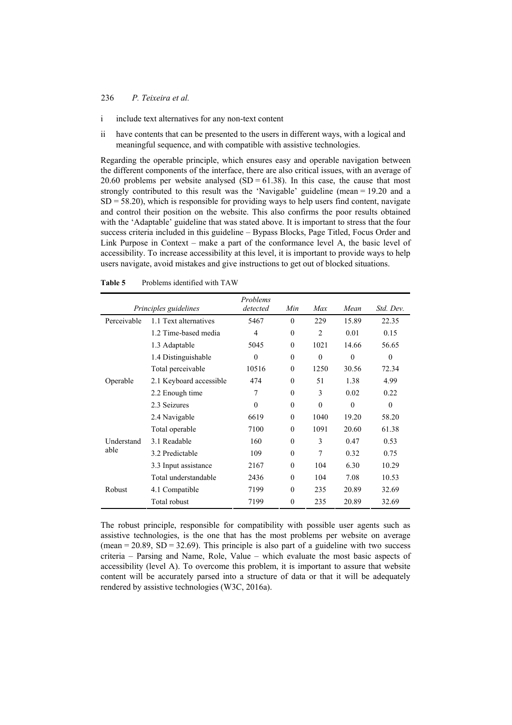#### 236 *P. Teixeira et al.*

- i include text alternatives for any non-text content
- ii have contents that can be presented to the users in different ways, with a logical and meaningful sequence, and with compatible with assistive technologies.

Regarding the operable principle, which ensures easy and operable navigation between the different components of the interface, there are also critical issues, with an average of 20.60 problems per website analysed  $(SD = 61.38)$ . In this case, the cause that most strongly contributed to this result was the 'Navigable' guideline (mean = 19.20 and a  $SD = 58.20$ , which is responsible for providing ways to help users find content, navigate and control their position on the website. This also confirms the poor results obtained with the 'Adaptable' guideline that was stated above. It is important to stress that the four success criteria included in this guideline – Bypass Blocks, Page Titled, Focus Order and Link Purpose in Context – make a part of the conformance level A, the basic level of accessibility. To increase accessibility at this level, it is important to provide ways to help users navigate, avoid mistakes and give instructions to get out of blocked situations.

|             | Principles guidelines   | Problems<br>detected | Min          | Max            | Mean     | Std. Dev. |
|-------------|-------------------------|----------------------|--------------|----------------|----------|-----------|
| Perceivable | 1.1 Text alternatives   | 5467                 | $\theta$     | 229            | 15.89    | 22.35     |
|             | 1.2 Time-based media    | $\overline{4}$       | $\theta$     | $\overline{2}$ | 0.01     | 0.15      |
|             | 1.3 Adaptable           | 5045                 | $\theta$     | 1021           | 14.66    | 56.65     |
|             | 1.4 Distinguishable     | $\theta$             | $\theta$     | $\Omega$       | $\Omega$ | $\theta$  |
|             | Total perceivable       | 10516                | $\theta$     | 1250           | 30.56    | 72.34     |
| Operable    | 2.1 Keyboard accessible | 474                  | $\theta$     | 51             | 1.38     | 4.99      |
|             | 2.2 Enough time         | 7                    | $\theta$     | 3              | 0.02     | 0.22      |
|             | 2.3 Seizures            | $\Omega$             | $\theta$     | $\Omega$       | $\Omega$ | $\theta$  |
|             | 2.4 Navigable           | 6619                 | $\theta$     | 1040           | 19.20    | 58.20     |
|             | Total operable          | 7100                 | $\theta$     | 1091           | 20.60    | 61.38     |
| Understand  | 3.1 Readable            | 160                  | $\theta$     | 3              | 0.47     | 0.53      |
| able        | 3.2 Predictable         | 109                  | $\theta$     | 7              | 0.32     | 0.75      |
|             | 3.3 Input assistance    | 2167                 | $\theta$     | 104            | 6.30     | 10.29     |
|             | Total understandable    | 2436                 | $\theta$     | 104            | 7.08     | 10.53     |
| Robust      | 4.1 Compatible          | 7199                 | $\theta$     | 235            | 20.89    | 32.69     |
|             | Total robust            | 7199                 | $\mathbf{0}$ | 235            | 20.89    | 32.69     |

**Table 5** Problems identified with TAW

The robust principle, responsible for compatibility with possible user agents such as assistive technologies, is the one that has the most problems per website on average (mean =  $20.89$ , SD =  $32.69$ ). This principle is also part of a guideline with two success criteria – Parsing and Name, Role, Value – which evaluate the most basic aspects of accessibility (level A). To overcome this problem, it is important to assure that website content will be accurately parsed into a structure of data or that it will be adequately rendered by assistive technologies (W3C, 2016a).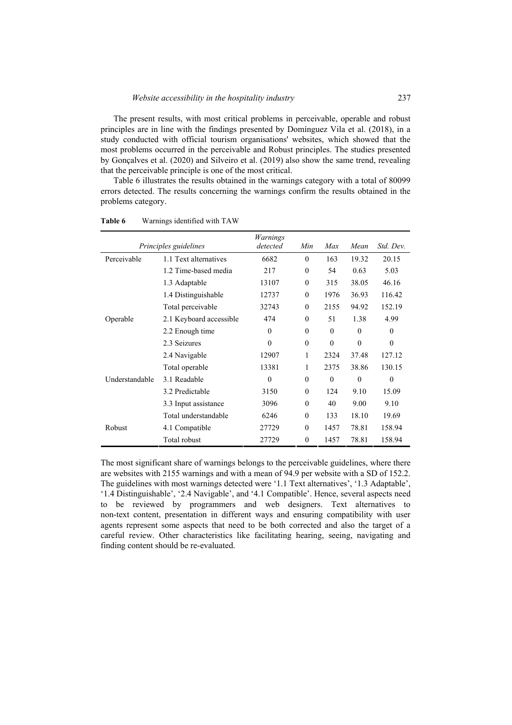The present results, with most critical problems in perceivable, operable and robust principles are in line with the findings presented by Domínguez Vila et al. (2018), in a study conducted with official tourism organisations' websites, which showed that the most problems occurred in the perceivable and Robust principles. The studies presented by Gonçalves et al. (2020) and Silveiro et al. (2019) also show the same trend, revealing that the perceivable principle is one of the most critical.

Table 6 illustrates the results obtained in the warnings category with a total of 80099 errors detected. The results concerning the warnings confirm the results obtained in the problems category.

|                | Principles guidelines   | Warnings<br>detected | Min      | Max      | Mean     | Std. Dev. |
|----------------|-------------------------|----------------------|----------|----------|----------|-----------|
| Perceivable    | 1.1 Text alternatives   | 6682                 | $\theta$ | 163      | 19.32    | 20.15     |
|                | 1.2 Time-based media    | 217                  | $\theta$ | 54       | 0.63     | 5.03      |
|                | 1.3 Adaptable           | 13107                | $\theta$ | 315      | 38.05    | 46.16     |
|                | 1.4 Distinguishable     | 12737                | $\theta$ | 1976     | 36.93    | 116.42    |
|                | Total perceivable       | 32743                | $\theta$ | 2155     | 94.92    | 152.19    |
| Operable       | 2.1 Keyboard accessible | 474                  | $\theta$ | 51       | 1.38     | 4.99      |
|                | 2.2 Enough time         | $\theta$             | $\Omega$ | $\Omega$ | $\theta$ | $\theta$  |
|                | 2.3 Seizures            | $\theta$             | $\theta$ | $\theta$ | $\theta$ | $\theta$  |
|                | 2.4 Navigable           | 12907                | 1        | 2324     | 37.48    | 127.12    |
|                | Total operable          | 13381                | 1        | 2375     | 38.86    | 130.15    |
| Understandable | 3.1 Readable            | $\theta$             | $\theta$ | $\theta$ | $\theta$ | $\theta$  |
|                | 3.2 Predictable         | 3150                 | $\theta$ | 124      | 9.10     | 15.09     |
|                | 3.3 Input assistance    | 3096                 | $\theta$ | 40       | 9.00     | 9.10      |
|                | Total understandable    | 6246                 | $\theta$ | 133      | 18.10    | 19.69     |
| Robust         | 4.1 Compatible          | 27729                | $\theta$ | 1457     | 78.81    | 158.94    |
|                | Total robust            | 27729                | $\theta$ | 1457     | 78.81    | 158.94    |

**Table 6** Warnings identified with TAW

The most significant share of warnings belongs to the perceivable guidelines, where there are websites with 2155 warnings and with a mean of 94.9 per website with a SD of 152.2. The guidelines with most warnings detected were '1.1 Text alternatives', '1.3 Adaptable', '1.4 Distinguishable', '2.4 Navigable', and '4.1 Compatible'. Hence, several aspects need to be reviewed by programmers and web designers. Text alternatives to non-text content, presentation in different ways and ensuring compatibility with user agents represent some aspects that need to be both corrected and also the target of a careful review. Other characteristics like facilitating hearing, seeing, navigating and finding content should be re-evaluated.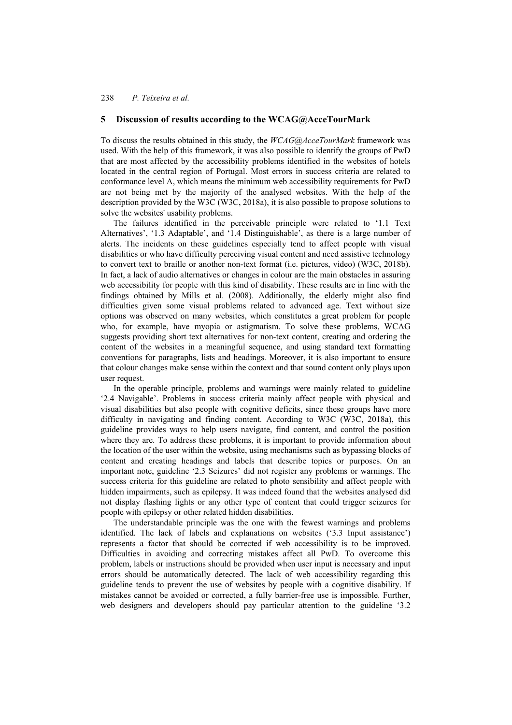### **5 Discussion of results according to the WCAG@AcceTourMark**

To discuss the results obtained in this study, the *WCAG@AcceTourMark* framework was used. With the help of this framework, it was also possible to identify the groups of PwD that are most affected by the accessibility problems identified in the websites of hotels located in the central region of Portugal. Most errors in success criteria are related to conformance level A, which means the minimum web accessibility requirements for PwD are not being met by the majority of the analysed websites. With the help of the description provided by the W3C (W3C, 2018a), it is also possible to propose solutions to solve the websites' usability problems.

The failures identified in the perceivable principle were related to '1.1 Text Alternatives', '1.3 Adaptable', and '1.4 Distinguishable', as there is a large number of alerts. The incidents on these guidelines especially tend to affect people with visual disabilities or who have difficulty perceiving visual content and need assistive technology to convert text to braille or another non-text format (i.e. pictures, video) (W3C, 2018b). In fact, a lack of audio alternatives or changes in colour are the main obstacles in assuring web accessibility for people with this kind of disability. These results are in line with the findings obtained by Mills et al. (2008). Additionally, the elderly might also find difficulties given some visual problems related to advanced age. Text without size options was observed on many websites, which constitutes a great problem for people who, for example, have myopia or astigmatism. To solve these problems, WCAG suggests providing short text alternatives for non-text content, creating and ordering the content of the websites in a meaningful sequence, and using standard text formatting conventions for paragraphs, lists and headings. Moreover, it is also important to ensure that colour changes make sense within the context and that sound content only plays upon user request.

In the operable principle, problems and warnings were mainly related to guideline '2.4 Navigable'. Problems in success criteria mainly affect people with physical and visual disabilities but also people with cognitive deficits, since these groups have more difficulty in navigating and finding content. According to W3C (W3C, 2018a), this guideline provides ways to help users navigate, find content, and control the position where they are. To address these problems, it is important to provide information about the location of the user within the website, using mechanisms such as bypassing blocks of content and creating headings and labels that describe topics or purposes. On an important note, guideline '2.3 Seizures' did not register any problems or warnings. The success criteria for this guideline are related to photo sensibility and affect people with hidden impairments, such as epilepsy. It was indeed found that the websites analysed did not display flashing lights or any other type of content that could trigger seizures for people with epilepsy or other related hidden disabilities.

The understandable principle was the one with the fewest warnings and problems identified. The lack of labels and explanations on websites ('3.3 Input assistance') represents a factor that should be corrected if web accessibility is to be improved. Difficulties in avoiding and correcting mistakes affect all PwD. To overcome this problem, labels or instructions should be provided when user input is necessary and input errors should be automatically detected. The lack of web accessibility regarding this guideline tends to prevent the use of websites by people with a cognitive disability. If mistakes cannot be avoided or corrected, a fully barrier-free use is impossible. Further, web designers and developers should pay particular attention to the guideline '3.2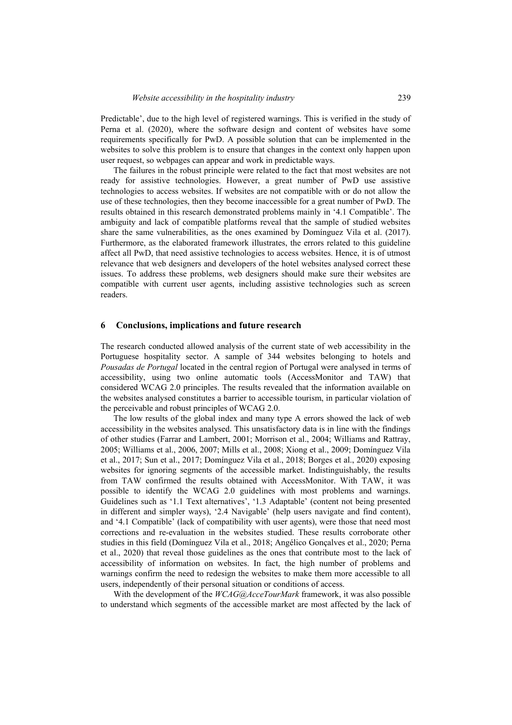Predictable', due to the high level of registered warnings. This is verified in the study of Perna et al. (2020), where the software design and content of websites have some requirements specifically for PwD. A possible solution that can be implemented in the websites to solve this problem is to ensure that changes in the context only happen upon user request, so webpages can appear and work in predictable ways.

The failures in the robust principle were related to the fact that most websites are not ready for assistive technologies. However, a great number of PwD use assistive technologies to access websites. If websites are not compatible with or do not allow the use of these technologies, then they become inaccessible for a great number of PwD. The results obtained in this research demonstrated problems mainly in '4.1 Compatible'. The ambiguity and lack of compatible platforms reveal that the sample of studied websites share the same vulnerabilities, as the ones examined by Domínguez Vila et al. (2017). Furthermore, as the elaborated framework illustrates, the errors related to this guideline affect all PwD, that need assistive technologies to access websites. Hence, it is of utmost relevance that web designers and developers of the hotel websites analysed correct these issues. To address these problems, web designers should make sure their websites are compatible with current user agents, including assistive technologies such as screen readers.

#### **6 Conclusions, implications and future research**

The research conducted allowed analysis of the current state of web accessibility in the Portuguese hospitality sector. A sample of 344 websites belonging to hotels and *Pousadas de Portugal* located in the central region of Portugal were analysed in terms of accessibility, using two online automatic tools (AccessMonitor and TAW) that considered WCAG 2.0 principles. The results revealed that the information available on the websites analysed constitutes a barrier to accessible tourism, in particular violation of the perceivable and robust principles of WCAG 2.0.

The low results of the global index and many type A errors showed the lack of web accessibility in the websites analysed. This unsatisfactory data is in line with the findings of other studies (Farrar and Lambert, 2001; Morrison et al., 2004; Williams and Rattray, 2005; Williams et al., 2006, 2007; Mills et al., 2008; Xiong et al., 2009; Domínguez Vila et al., 2017; Sun et al., 2017; Domínguez Vila et al., 2018; Borges et al., 2020) exposing websites for ignoring segments of the accessible market. Indistinguishably, the results from TAW confirmed the results obtained with AccessMonitor. With TAW, it was possible to identify the WCAG 2.0 guidelines with most problems and warnings. Guidelines such as '1.1 Text alternatives', '1.3 Adaptable' (content not being presented in different and simpler ways), '2.4 Navigable' (help users navigate and find content), and '4.1 Compatible' (lack of compatibility with user agents), were those that need most corrections and re-evaluation in the websites studied. These results corroborate other studies in this field (Domínguez Vila et al., 2018; Angélico Gonçalves et al., 2020; Perna et al., 2020) that reveal those guidelines as the ones that contribute most to the lack of accessibility of information on websites. In fact, the high number of problems and warnings confirm the need to redesign the websites to make them more accessible to all users, independently of their personal situation or conditions of access.

With the development of the *WCAG@AcceTourMark* framework, it was also possible to understand which segments of the accessible market are most affected by the lack of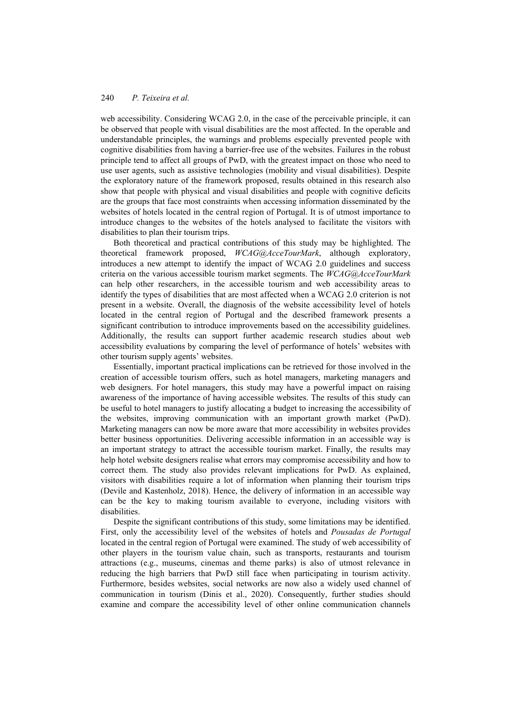web accessibility. Considering WCAG 2.0, in the case of the perceivable principle, it can be observed that people with visual disabilities are the most affected. In the operable and understandable principles, the warnings and problems especially prevented people with cognitive disabilities from having a barrier-free use of the websites. Failures in the robust principle tend to affect all groups of PwD, with the greatest impact on those who need to use user agents, such as assistive technologies (mobility and visual disabilities). Despite the exploratory nature of the framework proposed, results obtained in this research also show that people with physical and visual disabilities and people with cognitive deficits are the groups that face most constraints when accessing information disseminated by the websites of hotels located in the central region of Portugal. It is of utmost importance to introduce changes to the websites of the hotels analysed to facilitate the visitors with disabilities to plan their tourism trips.

Both theoretical and practical contributions of this study may be highlighted. The theoretical framework proposed, *WCAG@AcceTourMark*, although exploratory, introduces a new attempt to identify the impact of WCAG 2.0 guidelines and success criteria on the various accessible tourism market segments. The *WCAG@AcceTourMark* can help other researchers, in the accessible tourism and web accessibility areas to identify the types of disabilities that are most affected when a WCAG 2.0 criterion is not present in a website. Overall, the diagnosis of the website accessibility level of hotels located in the central region of Portugal and the described framework presents a significant contribution to introduce improvements based on the accessibility guidelines. Additionally, the results can support further academic research studies about web accessibility evaluations by comparing the level of performance of hotels' websites with other tourism supply agents' websites.

Essentially, important practical implications can be retrieved for those involved in the creation of accessible tourism offers, such as hotel managers, marketing managers and web designers. For hotel managers, this study may have a powerful impact on raising awareness of the importance of having accessible websites. The results of this study can be useful to hotel managers to justify allocating a budget to increasing the accessibility of the websites, improving communication with an important growth market (PwD). Marketing managers can now be more aware that more accessibility in websites provides better business opportunities. Delivering accessible information in an accessible way is an important strategy to attract the accessible tourism market. Finally, the results may help hotel website designers realise what errors may compromise accessibility and how to correct them. The study also provides relevant implications for PwD. As explained, visitors with disabilities require a lot of information when planning their tourism trips (Devile and Kastenholz, 2018). Hence, the delivery of information in an accessible way can be the key to making tourism available to everyone, including visitors with disabilities.

Despite the significant contributions of this study, some limitations may be identified. First, only the accessibility level of the websites of hotels and *Pousadas de Portugal* located in the central region of Portugal were examined. The study of web accessibility of other players in the tourism value chain, such as transports, restaurants and tourism attractions (e.g., museums, cinemas and theme parks) is also of utmost relevance in reducing the high barriers that PwD still face when participating in tourism activity. Furthermore, besides websites, social networks are now also a widely used channel of communication in tourism (Dinis et al., 2020). Consequently, further studies should examine and compare the accessibility level of other online communication channels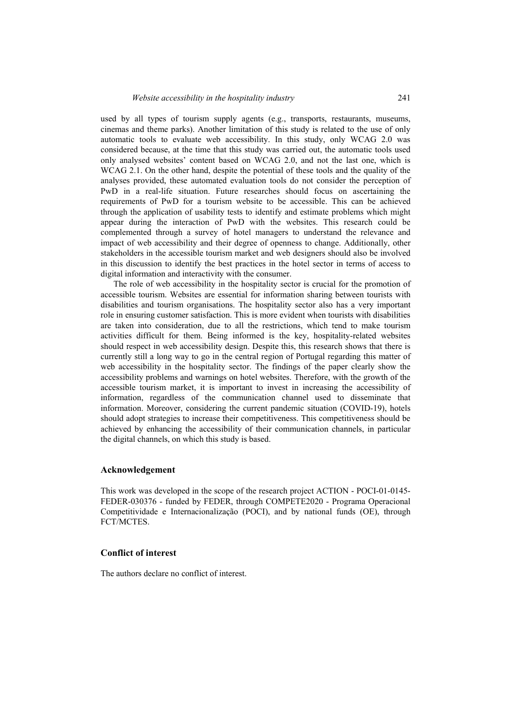used by all types of tourism supply agents (e.g., transports, restaurants, museums, cinemas and theme parks). Another limitation of this study is related to the use of only automatic tools to evaluate web accessibility. In this study, only WCAG 2.0 was considered because, at the time that this study was carried out, the automatic tools used only analysed websites' content based on WCAG 2.0, and not the last one, which is WCAG 2.1. On the other hand, despite the potential of these tools and the quality of the analyses provided, these automated evaluation tools do not consider the perception of PwD in a real-life situation. Future researches should focus on ascertaining the requirements of PwD for a tourism website to be accessible. This can be achieved through the application of usability tests to identify and estimate problems which might appear during the interaction of PwD with the websites. This research could be complemented through a survey of hotel managers to understand the relevance and impact of web accessibility and their degree of openness to change. Additionally, other stakeholders in the accessible tourism market and web designers should also be involved in this discussion to identify the best practices in the hotel sector in terms of access to digital information and interactivity with the consumer.

The role of web accessibility in the hospitality sector is crucial for the promotion of accessible tourism. Websites are essential for information sharing between tourists with disabilities and tourism organisations. The hospitality sector also has a very important role in ensuring customer satisfaction. This is more evident when tourists with disabilities are taken into consideration, due to all the restrictions, which tend to make tourism activities difficult for them. Being informed is the key, hospitality-related websites should respect in web accessibility design. Despite this, this research shows that there is currently still a long way to go in the central region of Portugal regarding this matter of web accessibility in the hospitality sector. The findings of the paper clearly show the accessibility problems and warnings on hotel websites. Therefore, with the growth of the accessible tourism market, it is important to invest in increasing the accessibility of information, regardless of the communication channel used to disseminate that information. Moreover, considering the current pandemic situation (COVID-19), hotels should adopt strategies to increase their competitiveness. This competitiveness should be achieved by enhancing the accessibility of their communication channels, in particular the digital channels, on which this study is based.

#### **Acknowledgement**

This work was developed in the scope of the research project ACTION - POCI-01-0145- FEDER-030376 - funded by FEDER, through COMPETE2020 - Programa Operacional Competitividade e Internacionalização (POCI), and by national funds (OE), through FCT/MCTES.

#### **Conflict of interest**

The authors declare no conflict of interest.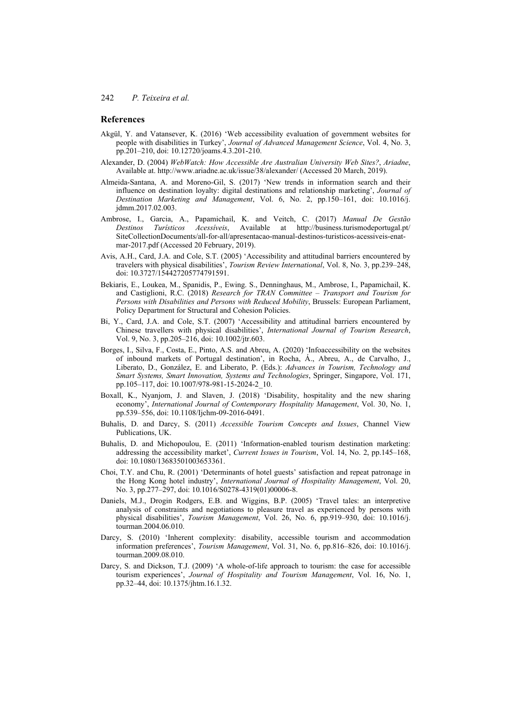### **References**

- Akgül, Y. and Vatansever, K. (2016) 'Web accessibility evaluation of government websites for people with disabilities in Turkey', *Journal of Advanced Management Science*, Vol. 4, No. 3, pp.201–210, doi: 10.12720/joams.4.3.201-210.
- Alexander, D. (2004) *WebWatch: How Accessible Are Australian University Web Sites?*, *Ariadne*, Available at. http://www.ariadne.ac.uk/issue/38/alexander/ (Accessed 20 March, 2019).
- Almeida-Santana, A. and Moreno-Gil, S. (2017) 'New trends in information search and their influence on destination loyalty: digital destinations and relationship marketing', *Journal of Destination Marketing and Management*, Vol. 6, No. 2, pp.150–161, doi: 10.1016/j. jdmm.2017.02.003.
- Ambrose, I., Garcia, A., Papamichail, K. and Veitch, C. (2017) *Manual De Gestão Destinos Turísticos Acessíveis*, Available at http://business.turismodeportugal.pt/ SiteCollectionDocuments/all-for-all/apresentacao-manual-destinos-turisticos-acessiveis-enatmar-2017.pdf (Accessed 20 February, 2019).
- Avis, A.H., Card, J.A. and Cole, S.T. (2005) 'Accessibility and attitudinal barriers encountered by travelers with physical disabilities', *Tourism Review International*, Vol. 8, No. 3, pp.239–248, doi: 10.3727/154427205774791591.
- Bekiaris, E., Loukea, M., Spanidis, P., Ewing. S., Denninghaus, M., Ambrose, I., Papamichail, K. and Castiglioni, R.C. (2018) *Research for TRAN Committee – Transport and Tourism for Persons with Disabilities and Persons with Reduced Mobility*, Brussels: European Parliament, Policy Department for Structural and Cohesion Policies.
- Bi, Y., Card, J.A. and Cole, S.T. (2007) 'Accessibility and attitudinal barriers encountered by Chinese travellers with physical disabilities', *International Journal of Tourism Research*, Vol. 9, No. 3, pp.205–216, doi: 10.1002/jtr.603.
- Borges, I., Silva, F., Costa, E., Pinto, A.S. and Abreu, A. (2020) 'Infoaccessibility on the websites of inbound markets of Portugal destination', in Rocha, Á., Abreu, A., de Carvalho, J., Liberato, D., González, E. and Liberato, P. (Eds.): *Advances in Tourism, Technology and Smart Systems, Smart Innovation, Systems and Technologies*, Springer, Singapore, Vol. 171, pp.105–117, doi: 10.1007/978-981-15-2024-2\_10.
- Boxall, K., Nyanjom, J. and Slaven, J. (2018) 'Disability, hospitality and the new sharing economy', *International Journal of Contemporary Hospitality Management*, Vol. 30, No. 1, pp.539–556, doi: 10.1108/Ijchm-09-2016-0491.
- Buhalis, D. and Darcy, S. (2011) *Accessible Tourism Concepts and Issues*, Channel View Publications, UK.
- Buhalis, D. and Michopoulou, E. (2011) 'Information-enabled tourism destination marketing: addressing the accessibility market', *Current Issues in Tourism*, Vol. 14, No. 2, pp.145–168, doi: 10.1080/13683501003653361.
- Choi, T.Y. and Chu, R. (2001) 'Determinants of hotel guests' satisfaction and repeat patronage in the Hong Kong hotel industry', *International Journal of Hospitality Management*, Vol. 20, No. 3, pp.277–297, doi: 10.1016/S0278-4319(01)00006-8.
- Daniels, M.J., Drogin Rodgers, E.B. and Wiggins, B.P. (2005) 'Travel tales: an interpretive analysis of constraints and negotiations to pleasure travel as experienced by persons with physical disabilities', *Tourism Management*, Vol. 26, No. 6, pp.919–930, doi: 10.1016/j. tourman.2004.06.010.
- Darcy, S. (2010) 'Inherent complexity: disability, accessible tourism and accommodation information preferences', *Tourism Management*, Vol. 31, No. 6, pp.816–826, doi: 10.1016/j. tourman.2009.08.010.
- Darcy, S. and Dickson, T.J. (2009) 'A whole-of-life approach to tourism: the case for accessible tourism experiences', *Journal of Hospitality and Tourism Management*, Vol. 16, No. 1, pp.32–44, doi: 10.1375/jhtm.16.1.32.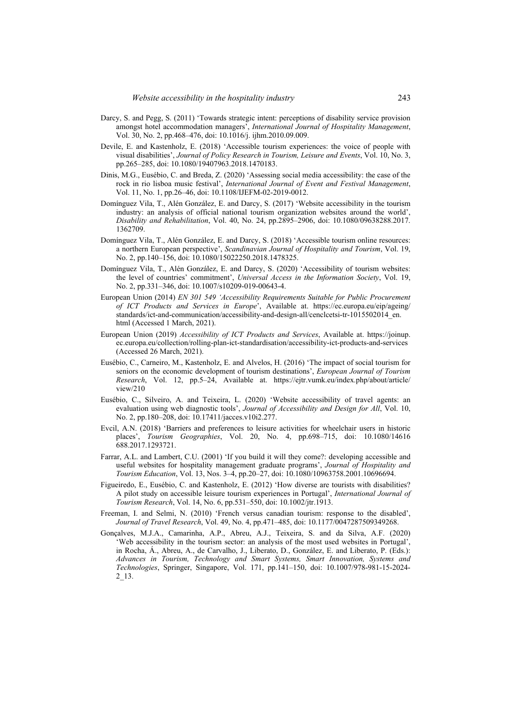- Darcy, S. and Pegg, S. (2011) 'Towards strategic intent: perceptions of disability service provision amongst hotel accommodation managers', *International Journal of Hospitality Management*, Vol. 30, No. 2, pp.468–476, doi: 10.1016/j. ijhm.2010.09.009.
- Devile, E. and Kastenholz, E. (2018) 'Accessible tourism experiences: the voice of people with visual disabilities', *Journal of Policy Research in Tourism, Leisure and Events*, Vol. 10, No. 3, pp.265–285, doi: 10.1080/19407963.2018.1470183.
- Dinis, M.G., Eusébio, C. and Breda, Z. (2020) 'Assessing social media accessibility: the case of the rock in rio lisboa music festival', *International Journal of Event and Festival Management*, Vol. 11, No. 1, pp.26–46, doi: 10.1108/IJEFM-02-2019-0012.
- Domínguez Vila, T., Alén González, E. and Darcy, S. (2017) 'Website accessibility in the tourism industry: an analysis of official national tourism organization websites around the world', *Disability and Rehabilitation*, Vol. 40, No. 24, pp.2895–2906, doi: 10.1080/09638288.2017. 1362709.
- Domínguez Vila, T., Alén González, E. and Darcy, S. (2018) 'Accessible tourism online resources: a northern European perspective', *Scandinavian Journal of Hospitality and Tourism*, Vol. 19, No. 2, pp.140–156, doi: 10.1080/15022250.2018.1478325.
- Domínguez Vila, T., Alén González, E. and Darcy, S. (2020) 'Accessibility of tourism websites: the level of countries' commitment', *Universal Access in the Information Society*, Vol. 19, No. 2, pp.331–346, doi: 10.1007/s10209-019-00643-4.
- European Union (2014) *EN 301 549 'Accessibility Requirements Suitable for Public Procurement of ICT Products and Services in Europe*', Available at. https://ec.europa.eu/eip/ageing/ standards/ict-and-communication/accessibility-and-design-all/cenclcetsi-tr-1015502014 en. html (Accessed 1 March, 2021).
- European Union (2019) *Accessibility of ICT Products and Services*, Available at. https://joinup. ec.europa.eu/collection/rolling-plan-ict-standardisation/accessibility-ict-products-and-services (Accessed 26 March, 2021).
- Eusébio, C., Carneiro, M., Kastenholz, E. and Alvelos, H. (2016) 'The impact of social tourism for seniors on the economic development of tourism destinations', *European Journal of Tourism Research*, Vol. 12, pp.5–24, Available at. https://ejtr.vumk.eu/index.php/about/article/ view/210
- Eusébio, C., Silveiro, A. and Teixeira, L. (2020) 'Website accessibility of travel agents: an evaluation using web diagnostic tools', *Journal of Accessibility and Design for All*, Vol. 10, No. 2, pp.180–208, doi: 10.17411/jacces.v10i2.277.
- Evcil, A.N. (2018) 'Barriers and preferences to leisure activities for wheelchair users in historic places', *Tourism Geographies*, Vol. 20, No. 4, pp.698–715, doi: 10.1080/14616 688.2017.1293721.
- Farrar, A.L. and Lambert, C.U. (2001) 'If you build it will they come?: developing accessible and useful websites for hospitality management graduate programs', *Journal of Hospitality and Tourism Education*, Vol. 13, Nos. 3–4, pp.20–27, doi: 10.1080/10963758.2001.10696694.
- Figueiredo, E., Eusébio, C. and Kastenholz, E. (2012) 'How diverse are tourists with disabilities? A pilot study on accessible leisure tourism experiences in Portugal', *International Journal of Tourism Research*, Vol. 14, No. 6, pp.531–550, doi: 10.1002/jtr.1913.
- Freeman, I. and Selmi, N. (2010) 'French versus canadian tourism: response to the disabled', *Journal of Travel Research*, Vol. 49, No. 4, pp.471–485, doi: 10.1177/0047287509349268.
- Gonçalves, M.J.A., Camarinha, A.P., Abreu, A.J., Teixeira, S. and da Silva, A.F. (2020) 'Web accessibility in the tourism sector: an analysis of the most used websites in Portugal', in Rocha, Á., Abreu, A., de Carvalho, J., Liberato, D., González, E. and Liberato, P. (Eds.): *Advances in Tourism, Technology and Smart Systems, Smart Innovation, Systems and Technologies*, Springer, Singapore, Vol. 171, pp.141–150, doi: 10.1007/978-981-15-2024- 2\_13.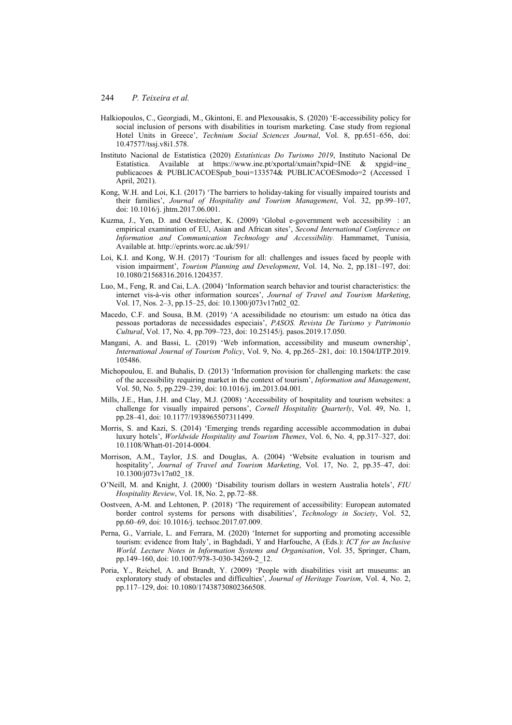- Halkiopoulos, C., Georgiadi, M., Gkintoni, E. and Plexousakis, S. (2020) 'E-accessibility policy for social inclusion of persons with disabilities in tourism marketing. Case study from regional Hotel Units in Greece', *Technium Social Sciences Journal*, Vol. 8, pp.651–656, doi: 10.47577/tssj.v8i1.578.
- Instituto Nacional de Estatística (2020) *Estatísticas Do Turismo 2019*, Instituto Nacional De Estatística. Available at https://www.ine.pt/xportal/xmain?xpid=INE  $\&$  xpgid=ine publicacoes & PUBLICACOESpub boui=133574& PUBLICACOESmodo=2 (Accessed 1 April, 2021).
- Kong, W.H. and Loi, K.I. (2017) 'The barriers to holiday-taking for visually impaired tourists and their families', *Journal of Hospitality and Tourism Management*, Vol. 32, pp.99–107, doi: 10.1016/j. jhtm.2017.06.001.
- Kuzma, J., Yen, D. and Oestreicher, K. (2009) 'Global e-government web accessibility: an empirical examination of EU, Asian and African sites', *Second International Conference on Information and Communication Technology and Accessibility.* Hammamet, Tunisia, Available at. http://eprints.worc.ac.uk/591/
- Loi, K.I. and Kong, W.H. (2017) 'Tourism for all: challenges and issues faced by people with vision impairment', *Tourism Planning and Development*, Vol. 14, No. 2, pp.181–197, doi: 10.1080/21568316.2016.1204357.
- Luo, M., Feng, R. and Cai, L.A. (2004) 'Information search behavior and tourist characteristics: the internet vis-à-vis other information sources', *Journal of Travel and Tourism Marketing*, Vol. 17, Nos. 2–3, pp.15–25, doi: 10.1300/j073v17n02\_02.
- Macedo, C.F. and Sousa, B.M. (2019) 'A acessibilidade no etourism: um estudo na ótica das pessoas portadoras de necessidades especiais', *PASOS. Revista De Turismo y Patrimonio Cultural*, Vol. 17, No. 4, pp.709–723, doi: 10.25145/j. pasos.2019.17.050.
- Mangani, A. and Bassi, L. (2019) 'Web information, accessibility and museum ownership', *International Journal of Tourism Policy*, Vol. 9, No. 4, pp.265–281, doi: 10.1504/IJTP.2019. 105486.
- Michopoulou, E. and Buhalis, D. (2013) 'Information provision for challenging markets: the case of the accessibility requiring market in the context of tourism', *Information and Management*, Vol. 50, No. 5, pp.229–239, doi: 10.1016/j. im.2013.04.001.
- Mills, J.E., Han, J.H. and Clay, M.J. (2008) 'Accessibility of hospitality and tourism websites: a challenge for visually impaired persons', *Cornell Hospitality Quarterly*, Vol. 49, No. 1, pp.28–41, doi: 10.1177/1938965507311499.
- Morris, S. and Kazi, S. (2014) 'Emerging trends regarding accessible accommodation in dubai luxury hotels', *Worldwide Hospitality and Tourism Themes*, Vol. 6, No. 4, pp.317–327, doi: 10.1108/Whatt-01-2014-0004.
- Morrison, A.M., Taylor, J.S. and Douglas, A. (2004) 'Website evaluation in tourism and hospitality', *Journal of Travel and Tourism Marketing*, Vol. 17, No. 2, pp.35–47, doi: 10.1300/j073v17n02\_18.
- O'Neill, M. and Knight, J. (2000) 'Disability tourism dollars in western Australia hotels', *FIU Hospitality Review*, Vol. 18, No. 2, pp.72–88.
- Oostveen, A-M. and Lehtonen, P. (2018) 'The requirement of accessibility: European automated border control systems for persons with disabilities', *Technology in Society*, Vol. 52, pp.60–69, doi: 10.1016/j. techsoc.2017.07.009.
- Perna, G., Varriale, L. and Ferrara, M. (2020) 'Internet for supporting and promoting accessible tourism: evidence from Italy', in Baghdadi, Y and Harfouche, A (Eds.): *ICT for an Inclusive World. Lecture Notes in Information Systems and Organisation*, Vol. 35, Springer, Cham, pp.149–160, doi: 10.1007/978-3-030-34269-2\_12.
- Poria, Y., Reichel, A. and Brandt, Y. (2009) 'People with disabilities visit art museums: an exploratory study of obstacles and difficulties', *Journal of Heritage Tourism*, Vol. 4, No. 2, pp.117–129, doi: 10.1080/17438730802366508.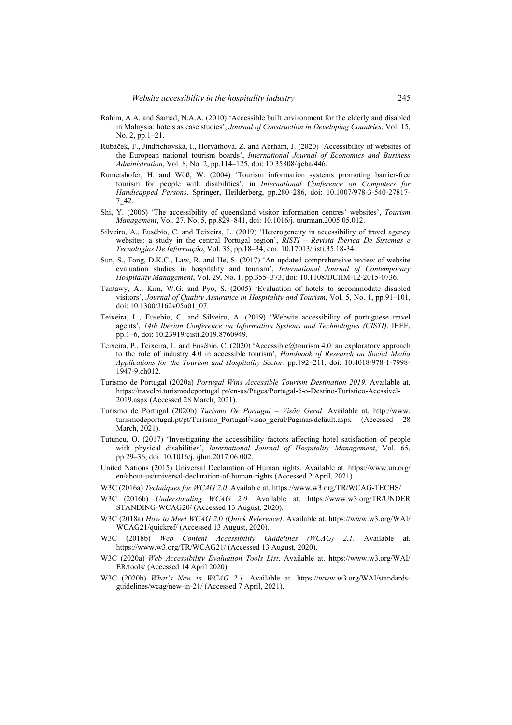- Rahim, A.A. and Samad, N.A.A. (2010) 'Accessible built environment for the elderly and disabled in Malaysia: hotels as case studies', *Journal of Construction in Developing Countries*, Vol. 15, No. 2, pp.1–21.
- Rubáček, F., Jindřichovská, I., Horváthová, Z. and Abrhám, J. (2020) 'Accessibility of websites of the European national tourism boards', *International Journal of Economics and Business Administration*, Vol. 8, No. 2, pp.114–125, doi: 10.35808/ijeba/446.
- Rumetshofer, H. and Wöß, W. (2004) 'Tourism information systems promoting barrier-free tourism for people with disabilities', in *International Conference on Computers for Handicapped Persons*. Springer, Heilderberg, pp.280–286, doi: 10.1007/978-3-540-27817- 7\_42.
- Shi, Y. (2006) 'The accessibility of queensland visitor information centres' websites', *Tourism Management*, Vol. 27, No. 5, pp.829–841, doi: 10.1016/j. tourman.2005.05.012.
- Silveiro, A., Eusébio, C. and Teixeira, L. (2019) 'Heterogeneity in accessibility of travel agency websites: a study in the central Portugal region', *RISTI – Revista Iberica De Sistemas e Tecnologias De Informação*, Vol. 35, pp.18–34, doi: 10.17013/risti.35.18-34.
- Sun, S., Fong, D.K.C., Law, R. and He, S. (2017) 'An updated comprehensive review of website evaluation studies in hospitality and tourism', *International Journal of Contemporary Hospitality Management*, Vol. 29, No. 1, pp.355–373, doi: 10.1108/IJCHM-12-2015-0736.
- Tantawy, A., Kim, W.G. and Pyo, S. (2005) 'Evaluation of hotels to accommodate disabled visitors', *Journal of Quality Assurance in Hospitality and Tourism*, Vol. 5, No. 1, pp.91–101, doi: 10.1300/J162v05n01\_07.
- Teixeira, L., Eusebio, C. and Silveiro, A. (2019) 'Website accessibility of portuguese travel agents', *14th Iberian Conference on Information Systems and Technologies (CISTI)*. IEEE, pp.1–6, doi: 10.23919/cisti.2019.8760949.
- Teixeira, P., Teixeira, L. and Eusébio, C. (2020) 'Accessible@tourism 4.0: an exploratory approach to the role of industry 4.0 in accessible tourism', *Handbook of Research on Social Media Applications for the Tourism and Hospitality Sector*, pp.192–211, doi: 10.4018/978-1-7998-  $1947 - 9.$ ch $012$ .
- Turismo de Portugal (2020a) *Portugal Wins Accessible Tourism Destination 2019*. Available at. https://travelbi.turismodeportugal.pt/en-us/Pages/Portugal-é-o-Destino-Turístico-Acessível-2019.aspx (Accessed 28 March, 2021).
- Turismo de Portugal (2020b) *Turismo De Portugal Visão Geral*. Available at. http://www. turismodeportugal.pt/pt/Turismo\_Portugal/visao\_geral/Paginas/default.aspx (Accessed 28 March, 2021).
- Tutuncu, O. (2017) 'Investigating the accessibility factors affecting hotel satisfaction of people with physical disabilities', *International Journal of Hospitality Management*, Vol. 65, pp.29–36, doi: 10.1016/j. ijhm.2017.06.002.
- United Nations (2015) Universal Declaration of Human rights. Available at. https://www.un.org/ en/about-us/universal-declaration-of-human-rights (Accessed 2 April, 2021).
- W3C (2016a) *Techniques for WCAG 2.0*. Available at. https://www.w3.org/TR/WCAG-TECHS/
- W3C (2016b) *Understanding WCAG 2.0*. Available at. https://www.w3.org/TR/UNDER STANDING-WCAG20/ (Accessed 13 August, 2020).
- W3C (2018a) *How to Meet WCAG 2.*0 *(Quick Reference)*. Available at. https://www.w3.org/WAI/ WCAG21/quickref/ (Accessed 13 August, 2020).
- W3C (2018b) *Web Content Accessibility Guidelines (WCAG) 2.1*. Available at. https://www.w3.org/TR/WCAG21/ (Accessed 13 August, 2020).
- W3C (2020a) *Web Accessibility Evaluation Tools List*. Available at. https://www.w3.org/WAI/ ER/tools/ (Accessed 14 April 2020)
- W3C (2020b) *What's New in WCAG 2.1*. Available at. https://www.w3.org/WAI/standardsguidelines/wcag/new-in-21/ (Accessed 7 April, 2021).